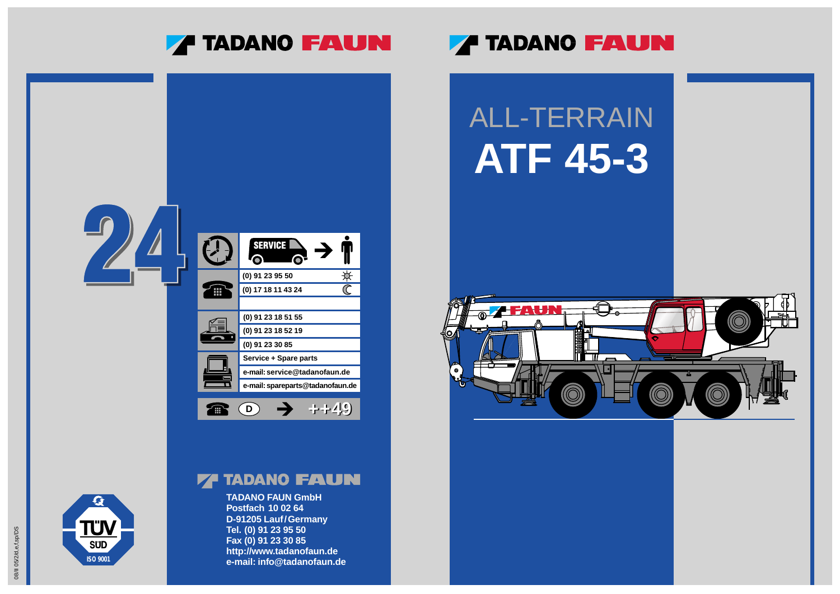**TADANO FAUN GmbH Postfach 10 02 64 D-91205 Lauf/Germany Tel. (0) 91 23 95 50 Fax (0) 91 23 30 85 http://www.tadanofaun.de e-mail: info@tadanofaun.de**

## **ZA TADANO FAUN**

### **ZA TADANO FAUN**







**ISO 9001**

**SUD** 

 $\boldsymbol{G}$ 

**TÜV** 

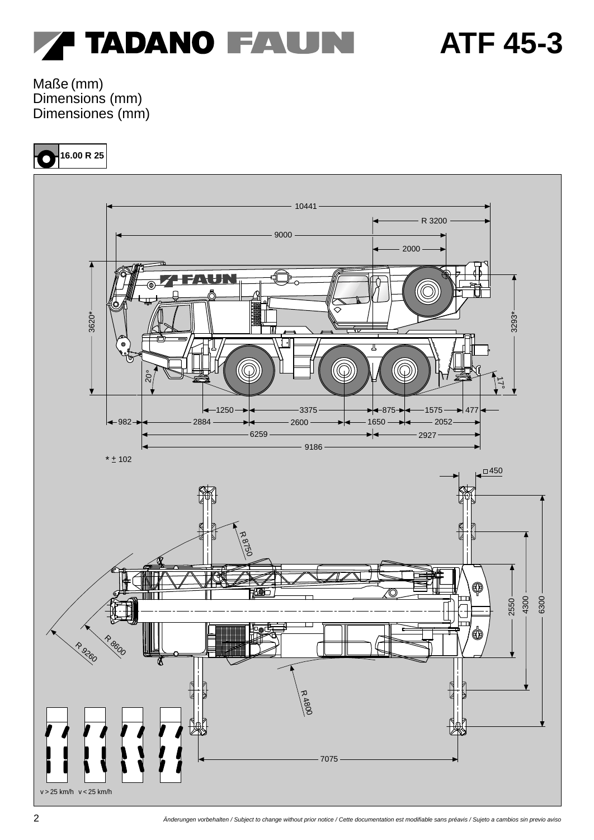

Maße (mm) Dimensions (mm) Dimensiones (mm)

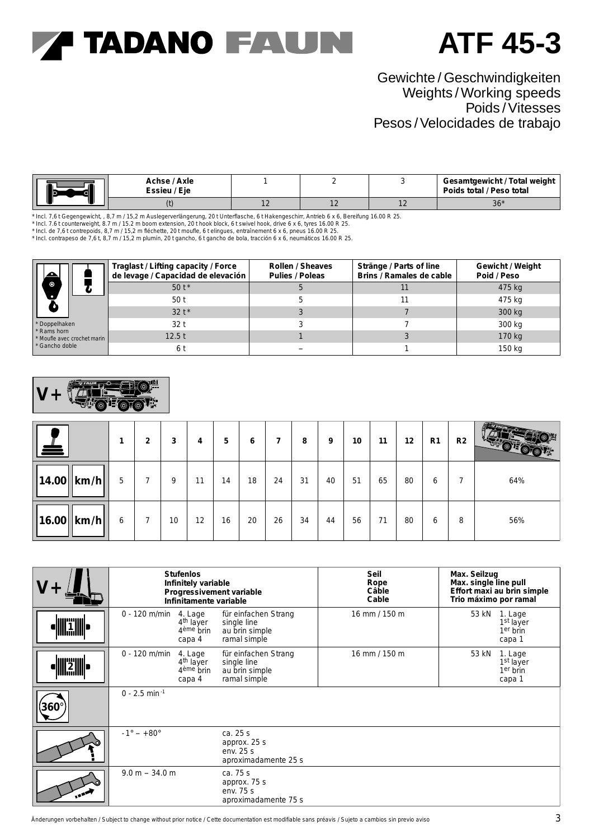### **ATF 45-3**

### Gewichte / Geschwindigkeiten Weights /Working speeds Poids /Vitesses Pesos /Velocidades de trabajo

|  | Achse / Axle<br>' Eie<br>Essieu / |               |                |              | Gesamtgewicht / Total weight<br>Poids total / Peso total |
|--|-----------------------------------|---------------|----------------|--------------|----------------------------------------------------------|
|  |                                   | $\sim$ $\sim$ | $\overline{1}$ | $\mathbf{r}$ | $36*$                                                    |

\* Incl. 7,6 t Gegengewicht, , 8,7 m / 15,2 m Auslegerverlängerung, 20 t Unterflasche, 6 t Hakengeschirr, Antrieb 6 x 6, Bereifung 16.00 R 25.<br>\* Incl. 7.6 t counterweight, 8.7 m / 15.2 m boom extension, 20 t hook block, 6 t

\* Incl. de 7,6 t contrepoids, 8,7 m / 15,2 m fléchette, 20 t moufle, 6 t elingues, entraînement 6 x 6, pneus 16.00 R 25.<br>\* Incl. contrapeso de 7,6 t, 8,7 m / 15,2 m plumín, 20 t gancho, 6 t gancho de bola, tracción 6 x 6,

|                                            | Traglast / Lifting capacity / Force<br>de levage / Capacidad de elevación | Rollen / Sheaves<br>Pulies / Poleas | Stränge / Parts of line<br>Brins / Ramales de cable | Gewicht / Weight<br>Poid / Peso |
|--------------------------------------------|---------------------------------------------------------------------------|-------------------------------------|-----------------------------------------------------|---------------------------------|
| $\bullet$                                  | $50t*$                                                                    |                                     |                                                     | $475 \text{ kg}$                |
|                                            | 50t                                                                       |                                     |                                                     | $475 \text{ kg}$                |
|                                            | $32+$                                                                     |                                     |                                                     | 300 kg                          |
| * Doppelhaken                              | 32t                                                                       |                                     |                                                     | $300 \text{ kg}$                |
| * Rams horn<br>* Moufle avec crochet marin | 12.5t                                                                     |                                     |                                                     | $170 \text{ kg}$                |
| * Gancho doble                             | 6 t                                                                       |                                     |                                                     | $150 \text{ kg}$                |



| . <del>. .</del>                                    |   | 2 | 3  | 4  | 5  | 6  |    | 8  | 9  | 10 | 11 | 12 | R <sub>1</sub> | R2 | <b>BERTH</b> |
|-----------------------------------------------------|---|---|----|----|----|----|----|----|----|----|----|----|----------------|----|--------------|
| $ 14.00 $ km/h                                      | 5 |   | 9  | 11 | 14 | 18 | 24 | 31 | 40 | 51 | 65 | 80 | 6              | 7  | 64%          |
| $\vert 16.00 \vert \vert \mathrm{km/h} \vert \vert$ | 6 | 7 | 10 | 12 | 16 | 20 | 26 | 34 | 44 | 56 | 71 | 80 | 6              | 8  | 56%          |

|                     |                             | <b>Stufenlos</b><br>Infinitely variable<br>Infinitamente variable | Progressivement variable                                              | Seil<br>Rope<br>Câble<br>Cable | Max. Seilzug<br>Max. single line pull<br>Effort maxi au brin simple<br>Trio máximo por ramal |
|---------------------|-----------------------------|-------------------------------------------------------------------|-----------------------------------------------------------------------|--------------------------------|----------------------------------------------------------------------------------------------|
| <b>THE PARTMENT</b> | $0 - 120$ m/min             | 4. Lage<br>4 <sup>th</sup> layer<br>$4eme$ brin<br>capa 4         | für einfachen Strang<br>single line<br>au brin simple<br>ramal simple | $16$ mm $/ 150$ m              | 53 kN 1. Lage<br>1 <sup>st</sup> layer<br>$1er$ brin<br>capa 1                               |
|                     | $0 - 120$ m/min             | 4. Lage<br>$4th$ layer<br>$4ème$ brin<br>capa 4                   | für einfachen Strang<br>single line<br>au brin simple<br>ramal simple | $16$ mm $/ 150$ m              | 53 kN<br>1. Lage<br>$1st$ layer<br>$1er$ brin<br>capa 1                                      |
| 360                 | $0 - 2.5$ min <sup>-1</sup> |                                                                   |                                                                       |                                |                                                                                              |
|                     | $-1^{\circ} - +80^{\circ}$  |                                                                   | ca. 25 s<br>approx. $25 s$<br>env. $25 s$<br>aproximadamente 25 s     |                                |                                                                                              |
| <b>1882</b>         | $9.0 m - 34.0 m$            |                                                                   | ca. $75 s$<br>approx. 75 s<br>env. $75 s$<br>aproximadamente 75 s     |                                |                                                                                              |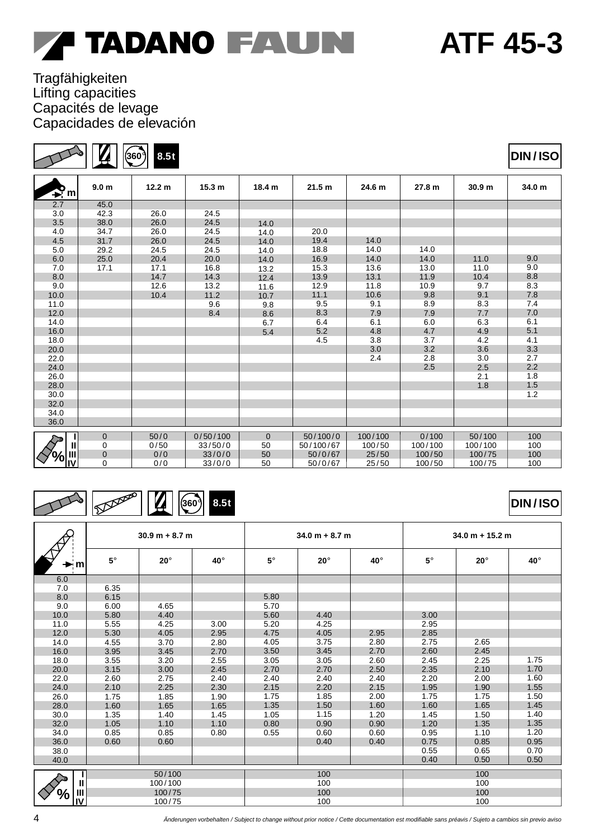### Tragfähigkeiten Lifting capacities Capacités de levage Capacidades de elevación

**360**°

**8.5t**

| $\mathbf{P}_{m}$                   | 9.0 <sub>m</sub> | 12.2 <sub>m</sub> | 15.3 <sub>m</sub> | 18.4 m         | 21.5 m    | 24.6 m  | 27.8 m  | 30.9 <sub>m</sub> | 34.0 m |
|------------------------------------|------------------|-------------------|-------------------|----------------|-----------|---------|---------|-------------------|--------|
| 2.7                                | 45.0             |                   |                   |                |           |         |         |                   |        |
| 3.0                                | 42.3             | 26.0              | 24.5              |                |           |         |         |                   |        |
| 3.5                                | 38.0             | 26.0              | 24.5              | 14.0           |           |         |         |                   |        |
| 4.0                                | 34.7             | 26.0              | 24.5              | 14.0           | 20.0      |         |         |                   |        |
| 4.5                                | 31.7             | 26.0              | 24.5              | 14.0           | 19.4      | 14.0    |         |                   |        |
| 5.0                                | 29.2             | 24.5              | 24.5              | 14.0           | 18.8      | 14.0    | 14.0    |                   |        |
| 6.0                                | 25.0             | 20.4              | 20.0              | 14.0           | 16.9      | 14.0    | 14.0    | 11.0              | 9.0    |
| 7.0                                | 17.1             | 17.1              | 16.8              | 13.2           | 15.3      | 13.6    | 13.0    | 11.0              | 9.0    |
| 8.0                                |                  | 14.7              | 14.3              | 12.4           | 13.9      | 13.1    | 11.9    | 10.4              | 8.8    |
| 9.0                                |                  | 12.6              | 13.2              | 11.6           | 12.9      | 11.8    | 10.9    | 9.7               | 8.3    |
| 10.0                               |                  | 10.4              | 11.2              | 10.7           | 11.1      | 10.6    | 9.8     | 9.1               | 7.8    |
| 11.0                               |                  |                   | 9.6               | 9.8            | 9.5       | 9.1     | 8.9     | 8.3               | 7.4    |
| 12.0                               |                  |                   | 8.4               | 8.6            | 8.3       | 7.9     | 7.9     | 7.7               | 7.0    |
| 14.0                               |                  |                   |                   | 6.7            | 6.4       | 6.1     | 6.0     | 6.3               | 6.1    |
| 16.0                               |                  |                   |                   | 5.4            | 5.2       | 4.8     | 4.7     | 4.9               | 5.1    |
| 18.0                               |                  |                   |                   |                | 4.5       | 3.8     | 3.7     | 4.2               | 4.1    |
| 20.0                               |                  |                   |                   |                |           | 3.0     | 3.2     | 3.6               | 3.3    |
| 22.0                               |                  |                   |                   |                |           | 2.4     | 2.8     | 3.0               | 2.7    |
| 24.0                               |                  |                   |                   |                |           |         | 2.5     | 2.5               | 2.2    |
| 26.0                               |                  |                   |                   |                |           |         |         | 2.1               | 1.8    |
| 28.0                               |                  |                   |                   |                |           |         |         | 1.8               | 1.5    |
| 30.0                               |                  |                   |                   |                |           |         |         |                   | 1.2    |
| 32.0                               |                  |                   |                   |                |           |         |         |                   |        |
| 34.0                               |                  |                   |                   |                |           |         |         |                   |        |
| 36.0                               |                  |                   |                   |                |           |         |         |                   |        |
|                                    | $\mathbf{0}$     | 50/0              | 0/50/100          | $\overline{0}$ | 50/100/0  | 100/100 | 0/100   | 50/100            | 100    |
| $\mathbf{u}$                       | 0                | 0/50              | 33/50/0           | 50             | 50/100/67 | 100/50  | 100/100 | 100/100           | 100    |
| $\frac{1}{2}$ $\frac{1}{2}$<br>'o/ | $\overline{0}$   | 0/0               | 33/0/0            | 50             | 50/0/67   | 25/50   | 100/50  | 100/75            | 100    |
|                                    | $\mathbf 0$      | 0/0               | 33/0/0            | 50             | 50/0/67   | 25/50   | 100/50  | 100/75            | 100    |

### **360 8.5t** H

|              |           | $30.9 m + 8.7 m$ |      |           | $34.0 m + 8.7 m$ |      | $34.0 m + 15.2 m$ |            |      |  |
|--------------|-----------|------------------|------|-----------|------------------|------|-------------------|------------|------|--|
| m            | $5^\circ$ | $20^\circ$       | 40°  | $5^\circ$ | $20^\circ$       | 40°  | $5^\circ$         | $20^\circ$ | 40°  |  |
| 6.0          |           |                  |      |           |                  |      |                   |            |      |  |
| 7.0          | 6.35      |                  |      |           |                  |      |                   |            |      |  |
| 8.0          | 6.15      |                  |      | 5.80      |                  |      |                   |            |      |  |
| 9.0          | 6.00      | 4.65             |      | 5.70      |                  |      |                   |            |      |  |
| 10.0         | 5.80      | 4.40             |      | 5.60      | 4.40             |      | 3.00              |            |      |  |
| 11.0         | 5.55      | 4.25             | 3.00 | 5.20      | 4.25             |      | 2.95              |            |      |  |
| 12.0         | 5.30      | 4.05             | 2.95 | 4.75      | 4.05             | 2.95 | 2.85              |            |      |  |
| 14.0         | 4.55      | 3.70             | 2.80 | 4.05      | 3.75             | 2.80 | 2.75              | 2.65       |      |  |
| 16.0         | 3.95      | 3.45             | 2.70 | 3.50      | 3.45             | 2.70 | 2.60              | 2.45       |      |  |
| 18.0         | 3.55      | 3.20             | 2.55 | 3.05      | 3.05             | 2.60 | 2.45              | 2.25       | 1.75 |  |
| 20.0         | 3.15      | 3.00             | 2.45 | 2.70      | 2.70             | 2.50 | 2.35              | 2.10       | 1.70 |  |
| 22.0         | 2.60      | 2.75             | 2.40 | 2.40      | 2.40             | 2.40 | 2.20              | 2.00       | 1.60 |  |
| 24.0         | 2.10      | 2.25             | 2.30 | 2.15      | 2.20             | 2.15 | 1.95              | 1.90       | 1.55 |  |
| 26.0         | 1.75      | 1.85             | 1.90 | 1.75      | 1.85             | 2.00 | 1.75              | 1.75       | 1.50 |  |
| 28.0         | 1.60      | 1.65             | 1.65 | 1.35      | 1.50             | 1.60 | 1.60              | 1.65       | 1.45 |  |
| 30.0         | 1.35      | 1.40             | 1.45 | 1.05      | 1.15             | 1.20 | 1.45              | 1.50       | 1.40 |  |
| 32.0         | 1.05      | 1.10             | 1.10 | 0.80      | 0.90             | 0.90 | 1.20              | 1.35       | 1.35 |  |
| 34.0         | 0.85      | 0.85             | 0.80 | 0.55      | 0.60             | 0.60 | 0.95              | 1.10       | 1.20 |  |
| 36.0         | 0.60      | 0.60             |      |           | 0.40             | 0.40 | 0.75              | 0.85       | 0.95 |  |
| 38.0         |           |                  |      |           |                  |      | 0.55              | 0.65       | 0.70 |  |
| 40.0         |           |                  |      |           |                  |      | 0.40              | 0.50       | 0.50 |  |
|              |           | 50/100           |      |           | 100              |      |                   | 100        |      |  |
| $\mathbf{I}$ |           | 100/100          |      |           | 100              |      | 100               |            |      |  |
| Ш<br>%       |           | 100/75           |      |           | 100              |      | 100               |            |      |  |
| IV           |           | 100/75           |      |           | 100              |      | 100               |            |      |  |

**DIN / ISO**



**ATF 45-3**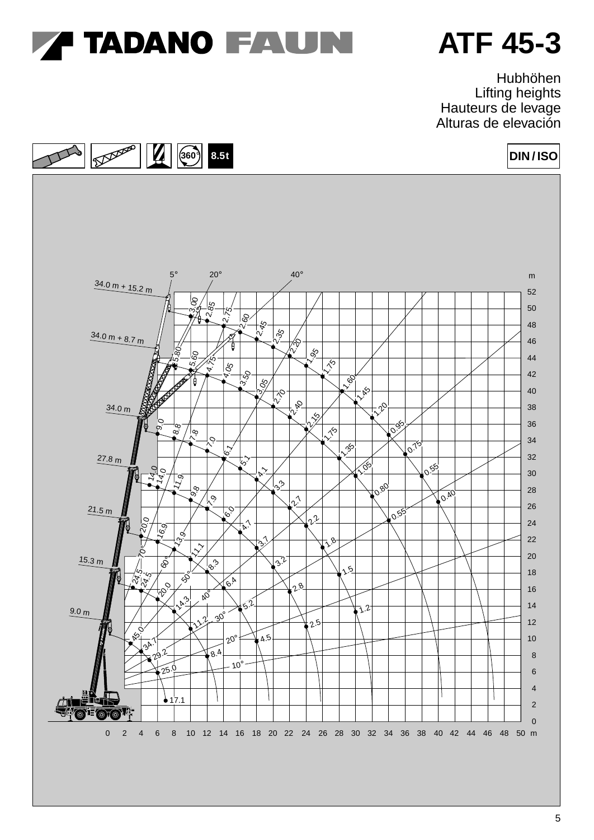

Hubhöhen Lifting heights Hauteurs de levage Alturas de elevación

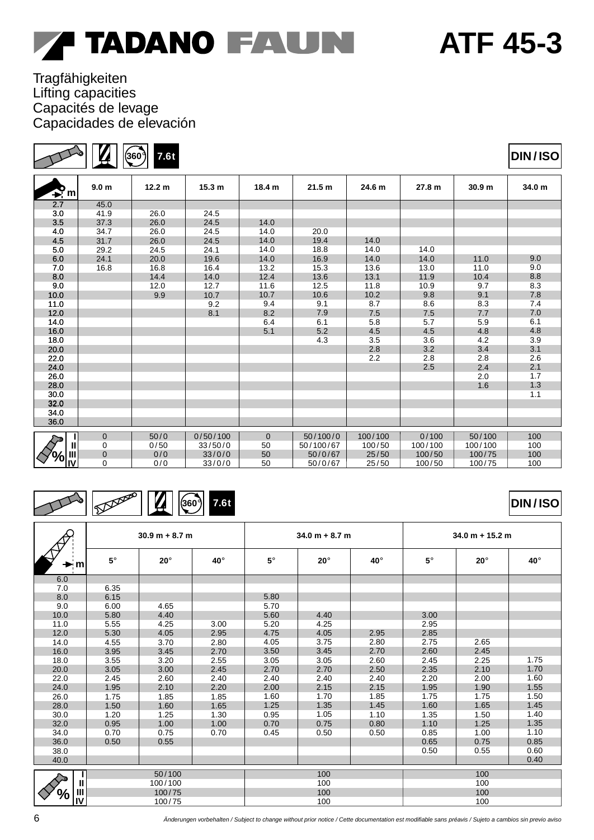### Tragfähigkeiten Lifting capacities Capacités de levage

| Ю<br>$\blacktriangleright$ m | 9.0 <sub>m</sub> | 12.2 <sub>m</sub> | 15.3 <sub>m</sub> | 18.4 m   | 21.5 m    | 24.6 m  | 27.8 m  | 30.9 <sub>m</sub> | 34.0 m |
|------------------------------|------------------|-------------------|-------------------|----------|-----------|---------|---------|-------------------|--------|
| 2.7                          | 45.0             |                   |                   |          |           |         |         |                   |        |
| 3.0                          | 41.9             | 26.0              | 24.5              |          |           |         |         |                   |        |
| 3.5                          | 37.3             | 26.0              | 24.5              | 14.0     |           |         |         |                   |        |
| 4.0                          | 34.7             | 26.0              | 24.5              | 14.0     | 20.0      |         |         |                   |        |
| 4.5                          | 31.7             | 26.0              | 24.5              | 14.0     | 19.4      | 14.0    |         |                   |        |
| 5.0                          | 29.2             | 24.5              | 24.1              | 14.0     | 18.8      | 14.0    | 14.0    |                   |        |
| 6.0                          | 24.1             | 20.0              | 19.6              | 14.0     | 16.9      | 14.0    | 14.0    | 11.0              | 9.0    |
| 7.0                          | 16.8             | 16.8              | 16.4              | 13.2     | 15.3      | 13.6    | 13.0    | 11.0              | 9.0    |
| 8.0                          |                  | 14.4              | 14.0              | 12.4     | 13.6      | 13.1    | 11.9    | 10.4              | 8.8    |
| 9.0                          |                  | 12.0              | 12.7              | 11.6     | 12.5      | 11.8    | 10.9    | 9.7               | 8.3    |
| 10.0                         |                  | 9.9               | 10.7              | 10.7     | 10.6      | 10.2    | 9.8     | 9.1               | 7.8    |
| 11.0                         |                  |                   | 9.2               | 9.4      | 9.1       | 8.7     | 8.6     | 8.3               | 7.4    |
| 12.0                         |                  |                   | 8.1               | 8.2      | 7.9       | 7.5     | 7.5     | 7.7               | 7.0    |
| 14.0                         |                  |                   |                   | 6.4      | 6.1       | 5.8     | 5.7     | 5.9               | 6.1    |
| 16.0                         |                  |                   |                   | 5.1      | 5.2       | 4.5     | 4.5     | 4.8               | 4.8    |
| 18.0                         |                  |                   |                   |          | 4.3       | 3.5     | 3.6     | 4.2               | 3.9    |
| 20.0                         |                  |                   |                   |          |           | 2.8     | 3.2     | 3.4               | 3.1    |
| 22.0                         |                  |                   |                   |          |           | 2.2     | 2.8     | 2.8               | 2.6    |
| 24.0                         |                  |                   |                   |          |           |         | 2.5     | 2.4               | 2.1    |
| 26.0                         |                  |                   |                   |          |           |         |         | 2.0               | 1.7    |
| 28.0                         |                  |                   |                   |          |           |         |         | 1.6               | 1.3    |
| 30.0                         |                  |                   |                   |          |           |         |         |                   | 1.1    |
| 32.0                         |                  |                   |                   |          |           |         |         |                   |        |
| 34.0                         |                  |                   |                   |          |           |         |         |                   |        |
| 36.0                         |                  |                   |                   |          |           |         |         |                   |        |
|                              | $\Omega$         | 50/0              | 0/50/100          | $\Omega$ | 50/100/0  | 100/100 | 0/100   | 50/100            | 100    |
| $\mathbf{u}$                 | 0                | 0/50              | 33/50/0           | 50       | 50/100/67 | 100/50  | 100/100 | 100/100           | 100    |
|                              | $\Omega$         | 0/0               | 33/0/0            | 50       | 50/0/67   | 25/50   | 100/50  | 100/75            | 100    |
| ⁄o∣ <sub>l∐</sub>            | 0                | 0/0               | 33/0/0            | 50       | 50/0/67   | 25/50   | 100/50  | 100/75            | 100    |

### **360° 7.6t**

|                     | ⊵           | — 12 I           |      |             |                  |      |             |                   |            |
|---------------------|-------------|------------------|------|-------------|------------------|------|-------------|-------------------|------------|
|                     |             | $30.9 m + 8.7 m$ |      |             | $34.0 m + 8.7 m$ |      |             | $34.0 m + 15.2 m$ |            |
| ٠m                  | $5^{\circ}$ | $20^\circ$       | 40°  | $5^{\circ}$ | $20^\circ$       | 40°  | $5^{\circ}$ | $20^\circ$        | $40^\circ$ |
| 6.0                 |             |                  |      |             |                  |      |             |                   |            |
| 7.0                 | 6.35        |                  |      |             |                  |      |             |                   |            |
| 8.0                 | 6.15        |                  |      | 5.80        |                  |      |             |                   |            |
| 9.0                 | 6.00        | 4.65             |      | 5.70        |                  |      |             |                   |            |
| 10.0                | 5.80        | 4.40             |      | 5.60        | 4.40             |      | 3.00        |                   |            |
| 11.0                | 5.55        | 4.25             | 3.00 | 5.20        | 4.25             |      | 2.95        |                   |            |
| 12.0                | 5.30        | 4.05             | 2.95 | 4.75        | 4.05             | 2.95 | 2.85        |                   |            |
| 14.0                | 4.55        | 3.70             | 2.80 | 4.05        | 3.75             | 2.80 | 2.75        | 2.65              |            |
| 16.0                | 3.95        | 3.45             | 2.70 | 3.50        | 3.45             | 2.70 | 2.60        | 2.45              |            |
| 18.0                | 3.55        | 3.20             | 2.55 | 3.05        | 3.05             | 2.60 | 2.45        | 2.25              | 1.75       |
| 20.0                | 3.05        | 3.00             | 2.45 | 2.70        | 2.70             | 2.50 | 2.35        | 2.10              | 1.70       |
| 22.0                | 2.45        | 2.60             | 2.40 | 2.40        | 2.40             | 2.40 | 2.20        | 2.00              | 1.60       |
| 24.0                | 1.95        | 2.10             | 2.20 | 2.00        | 2.15             | 2.15 | 1.95        | 1.90              | 1.55       |
| 26.0                | 1.75        | 1.85             | 1.85 | 1.60        | 1.70             | 1.85 | 1.75        | 1.75              | 1.50       |
| 28.0                | 1.50        | 1.60             | 1.65 | 1.25        | 1.35             | 1.45 | 1.60        | 1.65              | 1.45       |
| 30.0                | 1.20        | 1.25             | 1.30 | 0.95        | 1.05             | 1.10 | 1.35        | 1.50              | 1.40       |
| 32.0                | 0.95        | 1.00             | 1.00 | 0.70        | 0.75             | 0.80 | 1.10        | 1.25              | 1.35       |
| 34.0                | 0.70        | 0.75             | 0.70 | 0.45        | 0.50             | 0.50 | 0.85        | 1.00              | 1.10       |
| 36.0                | 0.50        | 0.55             |      |             |                  |      | 0.65        | 0.75              | 0.85       |
| 38.0                |             |                  |      |             |                  |      | 0.50        | 0.55              | 0.60       |
| 40.0                |             |                  |      |             |                  |      |             |                   | 0.40       |
|                     |             | 50/100           |      |             | 100              |      |             | 100               |            |
| $\mathbf{II}$       |             | 100/100          |      |             | 100              |      |             | 100               |            |
| $\mathbf{III}$<br>% |             | 100/75           |      |             | 100              |      |             | 100               |            |
| $\mathbf{N}$        |             | 100/75           |      |             | 100              |      | 100         |                   |            |

**360**°

**7.6t \***

Capacidades de elevación

 $\boldsymbol{Z}$ 

| <b><i>A</i> TADANO FAUN</b> |  |  |
|-----------------------------|--|--|
|-----------------------------|--|--|



**DIN / ISO**

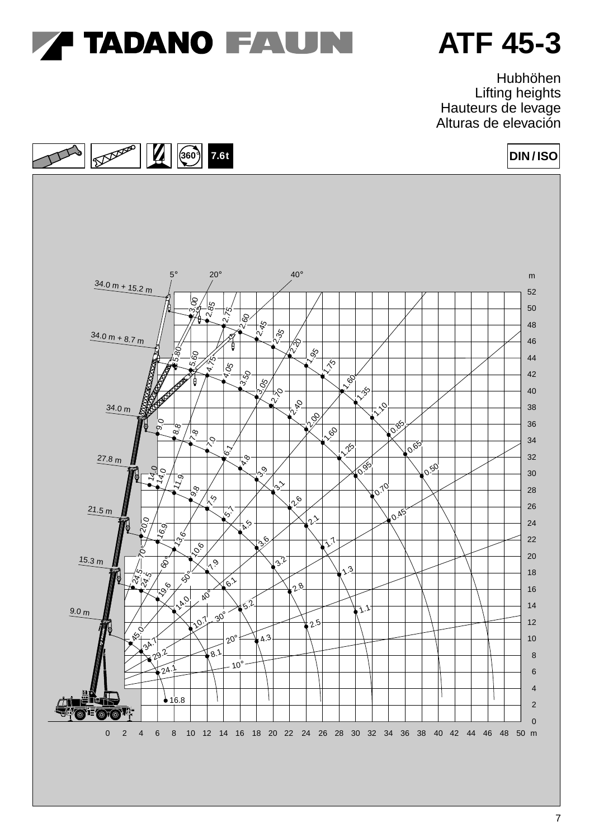

Hubhöhen Lifting heights Hauteurs de levage Alturas de elevación

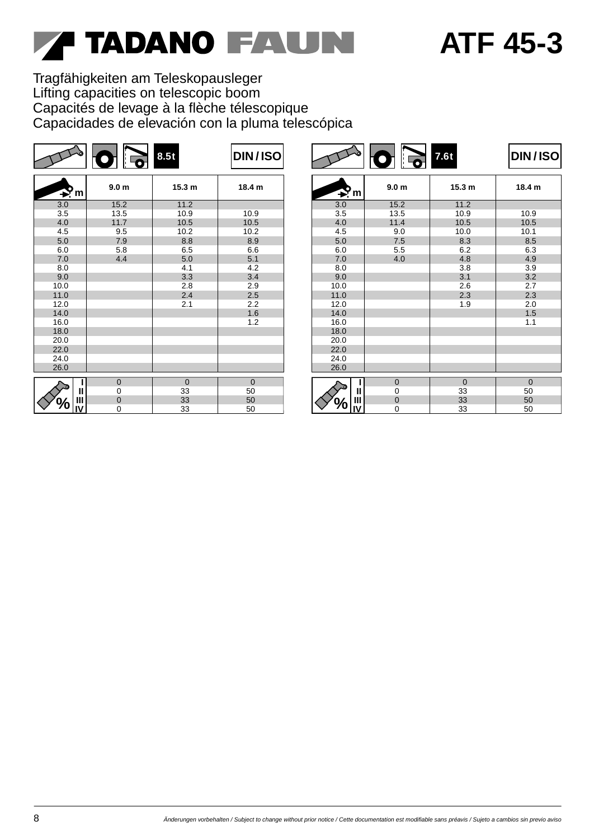# **ATF 45-3**

Tragfähigkeiten am Teleskopausleger Lifting capacities on telescopic boom Capacités de levage à la flèche télescopique Capacidades de elevación con la pluma telescópica

|                | $\bullet$        | 8.5t         | <b>DIN/ISO</b> |                |                  | 7.6t              | <b>DIN/ISO</b> |
|----------------|------------------|--------------|----------------|----------------|------------------|-------------------|----------------|
| $\mathbf{P}_m$ | 9.0 <sub>m</sub> | 15.3 m       | 18.4 m         | $\mathbf{P}_m$ | 9.0 <sub>m</sub> | 15.3 <sub>m</sub> | 18.4 m         |
| 3.0            | 15.2             | 11.2         |                | 3.0            | 15.2             | 11.2              |                |
| 3.5            | 13.5             | 10.9         | 10.9           | 3.5            | 13.5             | 10.9              | 10.9           |
| 4.0            | 11.7             | 10.5         | 10.5           | 4.0            | 11.4             | 10.5              | 10.5           |
| 4.5            | 9.5              | 10.2         | 10.2           | 4.5            | 9.0              | 10.0              | 10.1           |
| $5.0\,$        | 7.9              | 8.8          | 8.9            | $5.0\,$        | 7.5              | 8.3               | 8.5            |
| 6.0            | 5.8              | 6.5          | 6.6            | 6.0            | 5.5              | 6.2               | 6.3            |
| $7.0$          | 4.4              | 5.0          | 5.1            | 7.0            | 4.0              | 4.8               | 4.9            |
| 8.0            |                  | 4.1          | 4.2            | 8.0            |                  | 3.8               | 3.9            |
| 9.0            |                  | 3.3          | 3.4            | 9.0            |                  | 3.1               | 3.2            |
| 10.0           |                  | 2.8          | 2.9            | 10.0           |                  | 2.6               | 2.7            |
| 11.0           |                  | 2.4          | 2.5            | 11.0           |                  | 2.3               | 2.3            |
| 12.0           |                  | 2.1          | 2.2            | 12.0           |                  | 1.9               | 2.0            |
| 14.0           |                  |              | 1.6            | 14.0           |                  |                   | 1.5            |
| 16.0           |                  |              | 1.2            | 16.0           |                  |                   | 1.1            |
| 18.0           |                  |              |                | 18.0           |                  |                   |                |
| 20.0           |                  |              |                | 20.0           |                  |                   |                |
| 22.0           |                  |              |                | 22.0           |                  |                   |                |
| 24.0           |                  |              |                | 24.0           |                  |                   |                |
| 26.0           |                  |              |                | 26.0           |                  |                   |                |
|                | $\mathbf 0$      | $\mathbf{0}$ | $\mathbf 0$    |                | $\boldsymbol{0}$ | $\overline{0}$    | $\overline{0}$ |
| Ш              | 0                | 33           | 50             | Ш              | 0                | 33                | 50             |
| $\mathbf{III}$ | $\mathbf{0}$     | 33           | 50             | Ш              | $\pmb{0}$        | 33                | 50             |
| 'O<br>IV       | 0                | 33           | 50             | IV             | 0                | 33                | 50             |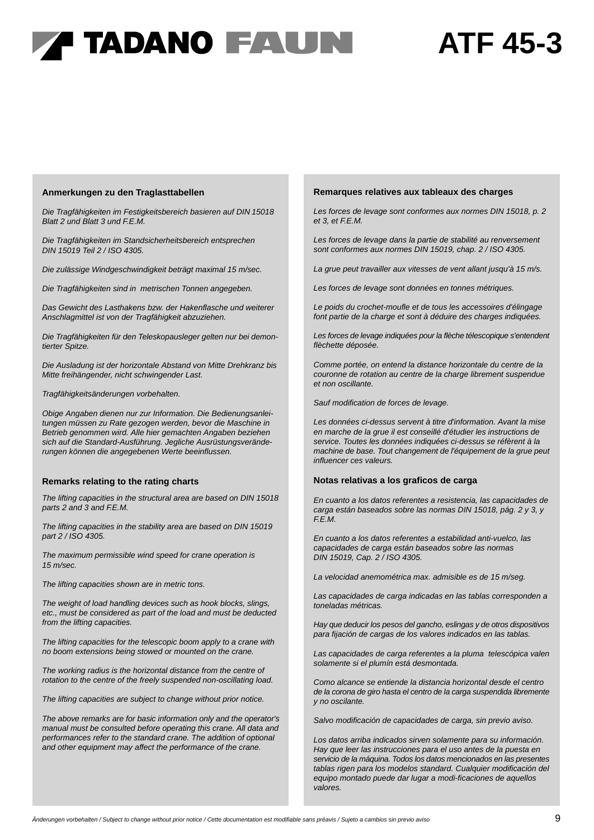### **ATF 45-3**

#### **Anmerkungen zu den Traglasttabellen**

*Die Tragfähigkeiten im Festigkeitsbereich basieren auf DIN 15018 Blatt 2 und Blatt 3 und F.E.M.*

*Die Tragfähigkeiten im Standsicherheitsbereich entsprechen DIN 15019 Teil 2 / ISO 4305.*

*Die zulässige Windgeschwindigkeit beträgt maximal 15 m/sec.*

*Die Tragfähigkeiten sind in metrischen Tonnen angegeben.*

*Das Gewicht des Lasthakens bzw. der Hakenflasche und weiterer Anschlagmittel ist von der Tragfähigkeit abzuziehen.*

*Die Tragfähigkeiten für den Teleskopausleger gelten nur bei demontierter Spitze.*

*Die Ausladung ist der horizontale Abstand von Mitte Drehkranz bis Mitte freihängender, nicht schwingender Last.*

*Tragfähigkeitsänderungen vorbehalten.*

*Obige Angaben dienen nur zur Information. Die Bedienungsanleitungen müssen zu Rate gezogen werden, bevor die Maschine in Betrieb genommen wird. Alle hier gemachten Angaben beziehen sich auf die Standard-Ausführung. Jegliche Ausrüstungsveränderungen können die angegebenen Werte beeinflussen.*

#### **Remarks relating to the rating charts**

*The lifting capacities in the structural area are based on DIN 15018 parts 2 and 3 and F.E.M.*

*The lifting capacities in the stability area are based on DIN 15019 part 2 / ISO 4305.*

*The maximum permissible wind speed for crane operation is 15 m/sec.*

*The lifting capacities shown are in metric tons.*

*The weight of load handling devices such as hook blocks, slings, etc., must be considered as part of the load and must be deducted from the lifting capacities.*

*The lifting capacities for the telescopic boom apply to a crane with no boom extensions being stowed or mounted on the crane.*

*The working radius is the horizontal distance from the centre of rotation to the centre of the freely suspended non-oscillating load.*

*The lifting capacities are subject to change without prior notice.*

*The above remarks are for basic information only and the operator's manual must be consulted before operating this crane. All data and performances refer to the standard crane. The addition of optional and other equipment may affect the performance of the crane.*

#### **Remarques relatives aux tableaux des charges**

*Les forces de levage sont conformes aux normes DIN 15018, p. 2 et 3, et F.E.M.*

*Les forces de levage dans la partie de stabilité au renversement sont conformes aux normes DIN 15019, chap. 2 / ISO 4305.*

*La grue peut travailler aux vitesses de vent allant jusqu'à 15 m/s.*

*Les forces de levage sont données en tonnes métriques.*

*Le poids du crochet-moufle et de tous les accessoires d'élingage font partie de la charge et sont à déduire des charges indiquées.*

*Les forces de levage indiquées pour la flèche télescopique s'entendent flèchette déposée.*

*Comme portée, on entend la distance horizontale du centre de la couronne de rotation au centre de la charge librement suspendue et non oscillante.*

*Sauf modification de forces de levage.*

*Les données ci-dessus servent à titre d'information. Avant la mise en marche de la grue il est conseillé d'étudier les instructions de service. Toutes les données indiquées ci-dessus se réfèrent à la machine de base. Tout changement de l'équipement de la grue peut influencer ces valeurs.*

#### **Notas relativas a los graficos de carga**

*En cuanto a los datos referentes a resistencia, las capacidades de carga están baseados sobre las normas DIN 15018, pág. 2 y 3, y F.E.M.*

*En cuanto a los datos referentes a estabilidad anti-vuelco, las capacidades de carga están baseados sobre las normas DIN 15019, Cap. 2 / ISO 4305.*

*La velocidad anemométrica max. admisible es de 15 m/seg.*

*Las capacidades de carga indicadas en las tablas corresponden a toneladas métricas.*

*Hay que deducir los pesos del gancho, eslingas y de otros dispositivos para fijación de cargas de los valores indicados en las tablas.*

*Las capacidades de carga referentes a la pluma telescópica valen solamente si el plumín está desmontada.*

*Como alcance se entiende la distancia horizontal desde el centro de la corona de giro hasta el centro de la carga suspendida libremente y no oscilante.*

*Salvo modificación de capacidades de carga, sin previo aviso.*

*Los datos arriba indicados sirven solamente para su información. Hay que leer las instrucciones para el uso antes de la puesta en servicio de la máquina. Todos los datos mencionados en las presentes tablas rigen para los modelos standard. Cualquier modificación del equipo montado puede dar lugar a modi-ficaciones de aquellos valores.*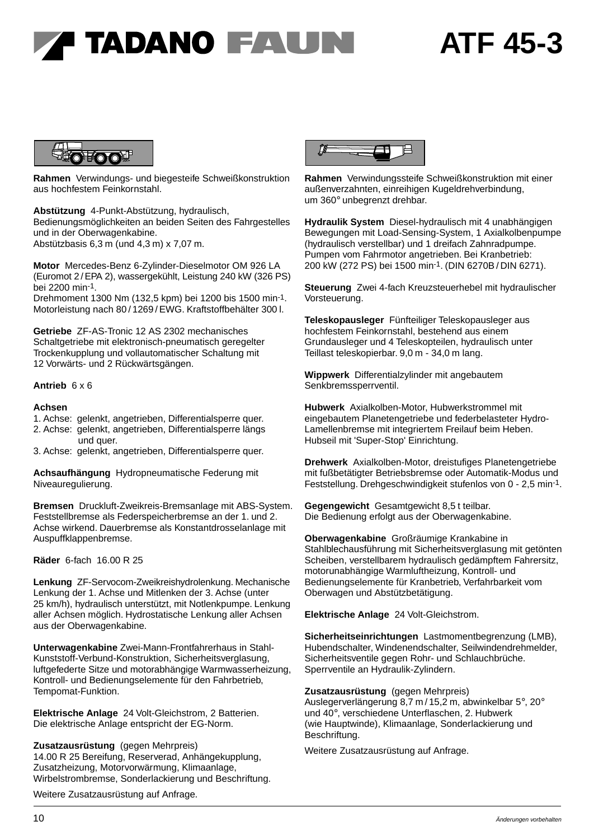### **ATF 45-3**



**Rahmen** Verwindungs- und biegesteife Schweißkonstruktion aus hochfestem Feinkornstahl.

**Abstützung** 4-Punkt-Abstützung, hydraulisch, Bedienungsmöglichkeiten an beiden Seiten des Fahrgestelles und in der Oberwagenkabine. Abstützbasis 6,3 m (und 4,3 m) x 7,07 m.

**Motor** Mercedes-Benz 6-Zylinder-Dieselmotor OM 926 LA (Euromot 2 /EPA 2), wassergekühlt, Leistung 240 kW (326 PS) bei 2200 min-1.

Drehmoment 1300 Nm (132,5 kpm) bei 1200 bis 1500 min-1. Motorleistung nach 80 / 1269 / EWG. Kraftstoffbehälter 300 l.

**Getriebe** ZF-AS-Tronic 12 AS 2302 mechanisches Schaltgetriebe mit elektronisch-pneumatisch geregelter Trockenkupplung und vollautomatischer Schaltung mit 12 Vorwärts- und 2 Rückwärtsgängen.

### **Antrieb** 6 x 6

#### **Achsen**

- 1. Achse: gelenkt, angetrieben, Differentialsperre quer.
- 2. Achse: gelenkt, angetrieben, Differentialsperre längs
- und quer. 3. Achse: gelenkt, angetrieben, Differentialsperre quer.

**Achsaufhängung** Hydropneumatische Federung mit Niveauregulierung.

**Bremsen** Druckluft-Zweikreis-Bremsanlage mit ABS-System. Feststellbremse als Federspeicherbremse an der 1. und 2. Achse wirkend. Dauerbremse als Konstantdrosselanlage mit Auspuffklappenbremse.

**Räder** 6-fach 16.00 R 25

**Lenkung** ZF-Servocom-Zweikreishydrolenkung. Mechanische Lenkung der 1. Achse und Mitlenken der 3. Achse (unter 25 km/h), hydraulisch unterstützt, mit Notlenkpumpe. Lenkung aller Achsen möglich. Hydrostatische Lenkung aller Achsen aus der Oberwagenkabine.

**Unterwagenkabine** Zwei-Mann-Frontfahrerhaus in Stahl-Kunststoff-Verbund-Konstruktion, Sicherheitsverglasung, luftgefederte Sitze und motorabhängige Warmwasserheizung, Kontroll- und Bedienungselemente für den Fahrbetrieb, Tempomat-Funktion.

**Elektrische Anlage** 24 Volt-Gleichstrom, 2 Batterien. Die elektrische Anlage entspricht der EG-Norm.

**Zusatzausrüstung** (gegen Mehrpreis) 14.00 R 25 Bereifung, Reserverad, Anhängekupplung, Zusatzheizung, Motorvorwärmung, Klimaanlage, Wirbelstrombremse, Sonderlackierung und Beschriftung.

Weitere Zusatzausrüstung auf Anfrage.



**Rahmen** Verwindungssteife Schweißkonstruktion mit einer außenverzahnten, einreihigen Kugeldrehverbindung, um 360° unbegrenzt drehbar.

**Hydraulik System** Diesel-hydraulisch mit 4 unabhängigen Bewegungen mit Load-Sensing-System, 1 Axialkolbenpumpe (hydraulisch verstellbar) und 1 dreifach Zahnradpumpe. Pumpen vom Fahrmotor angetrieben. Bei Kranbetrieb: 200 kW (272 PS) bei 1500 min-1. (DIN 6270B / DIN 6271).

**Steuerung** Zwei 4-fach Kreuzsteuerhebel mit hydraulischer Vorsteuerung.

**Teleskopausleger** Fünfteiliger Teleskopausleger aus hochfestem Feinkornstahl, bestehend aus einem Grundausleger und 4 Teleskopteilen, hydraulisch unter Teillast teleskopierbar. 9,0 m - 34,0 m lang.

**Wippwerk** Differentialzylinder mit angebautem Senkbremssperrventil.

**Hubwerk** Axialkolben-Motor, Hubwerkstrommel mit eingebautem Planetengetriebe und federbelasteter Hydro-Lamellenbremse mit integriertem Freilauf beim Heben. Hubseil mit 'Super-Stop' Einrichtung.

**Drehwerk** Axialkolben-Motor, dreistufiges Planetengetriebe mit fußbetätigter Betriebsbremse oder Automatik-Modus und Feststellung. Drehgeschwindigkeit stufenlos von 0 - 2,5 min-1.

**Gegengewicht** Gesamtgewicht 8,5 t teilbar. Die Bedienung erfolgt aus der Oberwagenkabine.

**Oberwagenkabine** Großräumige Krankabine in Stahlblechausführung mit Sicherheitsverglasung mit getönten Scheiben, verstellbarem hydraulisch gedämpftem Fahrersitz, motorunabhängige Warmluftheizung, Kontroll- und Bedienungselemente für Kranbetrieb, Verfahrbarkeit vom Oberwagen und Abstützbetätigung.

**Elektrische Anlage** 24 Volt-Gleichstrom.

**Sicherheitseinrichtungen** Lastmomentbegrenzung (LMB), Hubendschalter, Windenendschalter, Seilwindendrehmelder, Sicherheitsventile gegen Rohr- und Schlauchbrüche. Sperrventile an Hydraulik-Zylindern.

**Zusatzausrüstung** (gegen Mehrpreis)

Auslegerverlängerung 8,7 m / 15,2 m, abwinkelbar 5°, 20° und 40°, verschiedene Unterflaschen, 2. Hubwerk (wie Hauptwinde), Klimaanlage, Sonderlackierung und Beschriftung.

Weitere Zusatzausrüstung auf Anfrage.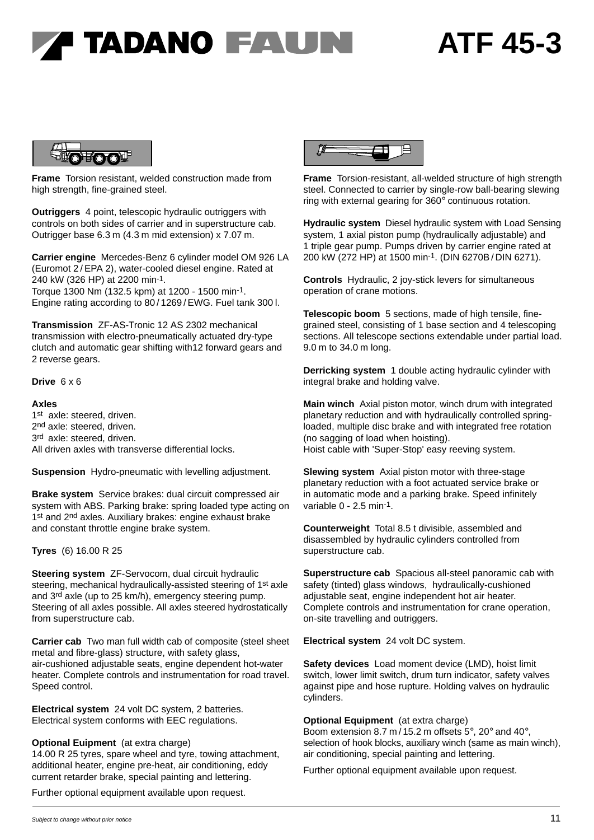# **A TADANO FAUNI**

### **ATF 45-3**



**Frame** Torsion resistant, welded construction made from high strength, fine-grained steel.

**Outriggers** 4 point, telescopic hydraulic outriggers with controls on both sides of carrier and in superstructure cab. Outrigger base 6.3 m (4.3 m mid extension) x 7.07 m.

**Carrier engine** Mercedes-Benz 6 cylinder model OM 926 LA (Euromot 2 / EPA 2), water-cooled diesel engine. Rated at 240 kW (326 HP) at 2200 min-1. Torque 1300 Nm (132.5 kpm) at 1200 - 1500 min-1.

Engine rating according to 80 / 1269 / EWG. Fuel tank 300 l.

**Transmission** ZF-AS-Tronic 12 AS 2302 mechanical transmission with electro-pneumatically actuated dry-type clutch and automatic gear shifting with12 forward gears and 2 reverse gears.

### **Drive** 6 x 6

### **Axles**

1st axle: steered, driven. 2nd axle: steered, driven. 3rd axle: steered, driven. All driven axles with transverse differential locks.

**Suspension** Hydro-pneumatic with levelling adjustment.

**Brake system** Service brakes: dual circuit compressed air system with ABS. Parking brake: spring loaded type acting on 1st and 2<sup>nd</sup> axles. Auxiliary brakes: engine exhaust brake and constant throttle engine brake system.

### **Tyres** (6) 16.00 R 25

**Steering system** ZF-Servocom, dual circuit hydraulic steering, mechanical hydraulically-assisted steering of 1st axle and 3<sup>rd</sup> axle (up to 25 km/h), emergency steering pump. Steering of all axles possible. All axles steered hydrostatically from superstructure cab.

**Carrier cab** Two man full width cab of composite (steel sheet metal and fibre-glass) structure, with safety glass, air-cushioned adjustable seats, engine dependent hot-water heater. Complete controls and instrumentation for road travel. Speed control.

**Electrical system** 24 volt DC system, 2 batteries. Electrical system conforms with EEC regulations.

### **Optional Euipment** (at extra charge)

14.00 R 25 tyres, spare wheel and tyre, towing attachment, additional heater, engine pre-heat, air conditioning, eddy current retarder brake, special painting and lettering.

Further optional equipment available upon request.



**Frame** Torsion-resistant, all-welded structure of high strength steel. Connected to carrier by single-row ball-bearing slewing ring with external gearing for 360° continuous rotation.

**Hydraulic system** Diesel hydraulic system with Load Sensing system, 1 axial piston pump (hydraulically adjustable) and 1 triple gear pump. Pumps driven by carrier engine rated at 200 kW (272 HP) at 1500 min-1. (DIN 6270B / DIN 6271).

**Controls** Hydraulic, 2 joy-stick levers for simultaneous operation of crane motions.

**Telescopic boom** 5 sections, made of high tensile, finegrained steel, consisting of 1 base section and 4 telescoping sections. All telescope sections extendable under partial load. 9.0 m to 34.0 m long.

**Derricking system** 1 double acting hydraulic cylinder with integral brake and holding valve.

**Main winch** Axial piston motor, winch drum with integrated planetary reduction and with hydraulically controlled springloaded, multiple disc brake and with integrated free rotation (no sagging of load when hoisting). Hoist cable with 'Super-Stop' easy reeving system.

**Slewing system** Axial piston motor with three-stage planetary reduction with a foot actuated service brake or in automatic mode and a parking brake. Speed infinitely variable 0 - 2.5 min-1.

**Counterweight** Total 8.5 t divisible, assembled and disassembled by hydraulic cylinders controlled from superstructure cab.

**Superstructure cab** Spacious all-steel panoramic cab with safety (tinted) glass windows, hydraulically-cushioned adjustable seat, engine independent hot air heater. Complete controls and instrumentation for crane operation, on-site travelling and outriggers.

**Electrical system** 24 volt DC system.

**Safety devices** Load moment device (LMD), hoist limit switch, lower limit switch, drum turn indicator, safety valves against pipe and hose rupture. Holding valves on hydraulic cylinders.

**Optional Equipment** (at extra charge)

Boom extension 8.7 m / 15.2 m offsets 5°, 20° and 40°, selection of hook blocks, auxiliary winch (same as main winch), air conditioning, special painting and lettering.

Further optional equipment available upon request.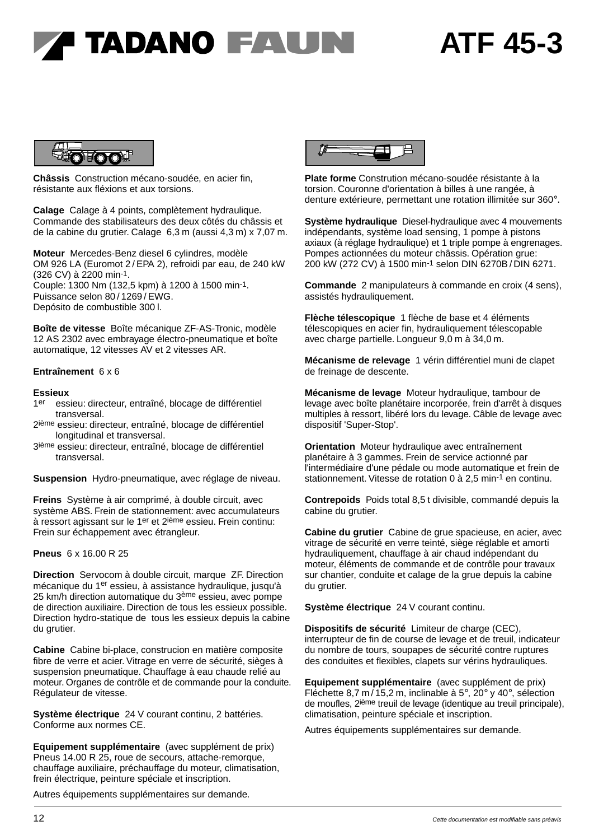### **ATF 45-3**



**Châssis** Construction mécano-soudée, en acier fin, résistante aux fléxions et aux torsions.

**Calage** Calage à 4 points, complètement hydraulique. Commande des stabilisateurs des deux côtés du châssis et de la cabine du grutier. Calage 6,3 m (aussi 4,3 m) x 7,07 m.

**Moteur** Mercedes-Benz diesel 6 cylindres, modèle OM 926 LA (Euromot 2 / EPA 2), refroidi par eau, de 240 kW (326 CV) à 2200 min-1. Couple: 1300 Nm (132,5 kpm) à 1200 à 1500 min-1. Puissance selon 80 / 1269 / EWG. Depósito de combustible 300 l.

**Boîte de vitesse** Boîte mécanique ZF-AS-Tronic, modèle 12 AS 2302 avec embrayage électro-pneumatique et boîte automatique, 12 vitesses AV et 2 vitesses AR.

#### **Entraînement** 6 x 6

#### **Essieux**

- 1<sup>er</sup> essieu: directeur, entraîné, blocage de différentiel Essieux<br>1<sup>er</sup> essieu: dire<br>transversal.<br><sup>2ième</sup> escieu: dire
- 2ième essieu: directeur, entraîné, blocage de différentiel ransversal.<br>
2<sup>ième</sup> essieu: directeur, entraîné<br>
longitudinal et transversal.<br>
<sup>2ième</sup> essieu: directeur, entraîné
- 3ième essieu: directeur, entraîné, blocage de différentiel International<br>Sième essieu: dire<br>transversal.

**Suspension** Hydro-pneumatique, avec réglage de niveau.

**Freins** Système à air comprimé, à double circuit, avec système ABS. Frein de stationnement: avec accumulateurs à ressort agissant sur le 1er et 2ième essieu. Frein continu: Frein sur échappement avec étrangleur.

### **Pneus** 6 x 16.00 R 25

**Direction** Servocom à double circuit, marque ZF. Direction mécanique du 1er essieu, à assistance hydraulique, jusqu'à 25 km/h direction automatique du 3<sup>ème</sup> essieu, avec pompe de direction auxiliaire. Direction de tous les essieux possible. Direction hydro-statique de tous les essieux depuis la cabine du grutier.

**Cabine** Cabine bi-place, construcion en matière composite fibre de verre et acier. Vitrage en verre de sécurité, sièges à suspension pneumatique. Chauffage à eau chaude relié au moteur. Organes de contrôle et de commande pour la conduite. Régulateur de vitesse.

**Système électrique** 24 V courant continu, 2 battéries. Conforme aux normes CE.

**Equipement supplémentaire** (avec supplément de prix) Pneus 14.00 R 25, roue de secours, attache-remorque, chauffage auxiliaire, préchauffage du moteur, climatisation, frein électrique, peinture spéciale et inscription.

Autres équipements supplémentaires sur demande.



**Plate forme** Constrution mécano-soudée résistante à la torsion. Couronne d'orientation à billes à une rangée, à denture extérieure, permettant une rotation illimitée sur 360°.

**Système hydraulique** Diesel-hydraulique avec 4 mouvements indépendants, système load sensing, 1 pompe à pistons axiaux (à réglage hydraulique) et 1 triple pompe à engrenages. Pompes actionnées du moteur châssis. Opération grue: 200 kW (272 CV) à 1500 min-1 selon DIN 6270B / DIN 6271.

**Commande** 2 manipulateurs à commande en croix (4 sens), assistés hydrauliquement.

**Flèche télescopique** 1 flèche de base et 4 éléments télescopiques en acier fin, hydrauliquement télescopable avec charge partielle. Longueur 9,0 m à 34,0 m.

**Mécanisme de relevage** 1 vérin différentiel muni de clapet de freinage de descente.

**Mécanisme de levage** Moteur hydraulique, tambour de levage avec boîte planétaire incorporée, frein d'arrêt à disques multiples à ressort, libéré lors du levage. Câble de levage avec dispositif 'Super-Stop'.

**Orientation** Moteur hydraulique avec entraînement planétaire à 3 gammes. Frein de service actionné par l'intermédiaire d'une pédale ou mode automatique et frein de stationnement. Vitesse de rotation 0 à 2,5 min-1 en continu.

**Contrepoids** Poids total 8,5 t divisible, commandé depuis la cabine du grutier.

**Cabine du grutier** Cabine de grue spacieuse, en acier, avec vitrage de sécurité en verre teinté, siège réglable et amorti hydrauliquement, chauffage à air chaud indépendant du moteur, éléments de commande et de contrôle pour travaux sur chantier, conduite et calage de la grue depuis la cabine du grutier.

**Système électrique** 24 V courant continu.

**Dispositifs de sécurité** Limiteur de charge (CEC), interrupteur de fin de course de levage et de treuil, indicateur du nombre de tours, soupapes de sécurité contre ruptures des conduites et flexibles, clapets sur vérins hydrauliques.

**Equipement supplémentaire** (avec supplément de prix) Fléchette 8,7 m / 15,2 m, inclinable à 5°, 20° y 40°, sélection de moufles, 2ième treuil de levage (identique au treuil principale), climatisation, peinture spéciale et inscription.

Autres équipements supplémentaires sur demande.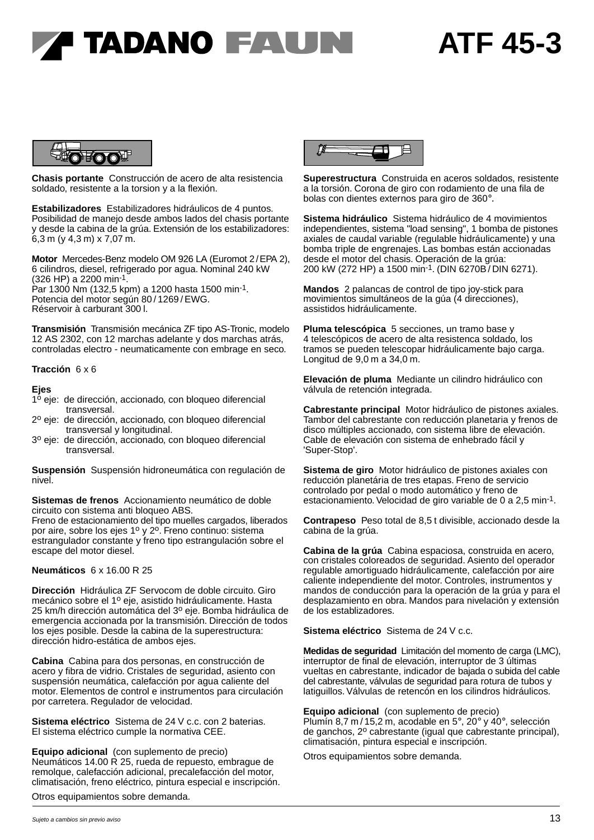## **A TADANO FAUNI**

### **ATF 45-3**



**Chasis portante** Construcción de acero de alta resistencia soldado, resistente a la torsion y a la flexión.

**Estabilizadores** Estabilizadores hidráulicos de 4 puntos. Posibilidad de manejo desde ambos lados del chasis portante y desde la cabina de la grúa. Extensión de los estabilizadores: 6,3 m (y 4,3 m) x 7,07 m.

**Motor** Mercedes-Benz modelo OM 926 LA (Euromot 2/EPA 2), 6 cilindros, diesel, refrigerado por agua. Nominal 240 kW (326 HP) a 2200 min-1. Par 1300 Nm (132,5 kpm) a 1200 hasta 1500 min-1.

Potencia del motor según 80 / 1269 / EWG. Réservoir à carburant 300 l.

**Transmisión** Transmisión mecánica ZF tipo AS-Tronic, modelo 12 AS 2302, con 12 marchas adelante y dos marchas atrás, controladas electro - neumaticamente con embrage en seco.

### **Tracción** 6 x 6

### **Ejes**

- 1<sup>o</sup> eje: de dirección, accionado, con bloqueo diferencial transversal.
- 2º eje: de dirección, accionado, con bloqueo diferencial transversal y longitudinal.
- 3 <sup>o</sup> eje: de dirección, accionado, con bloqueo diferencial transversal.

**Suspensión** Suspensión hidroneumática con regulación de nivel.

**Sistemas de frenos** Accionamiento neumático de doble circuito con sistema anti bloqueo ABS.

Freno de estacionamiento del tipo muelles cargados, liberados por aire, sobre los ejes 1º y 2º. Freno continuo: sistema estrangulador constante y freno tipo estrangulación sobre el escape del motor diesel.

### **Neumáticos** 6 x 16.00 R 25

**Dirección** Hidráulica ZF Servocom de doble circuito. Giro mecánico sobre el 1º eje, asistido hidráulicamente. Hasta 25 km/h dirección automática del 3o eje. Bomba hidráulica de emergencia accionada por la transmisión. Dirección de todos los ejes posible. Desde la cabina de la superestructura: dirección hidro-estática de ambos ejes.

**Cabina** Cabina para dos personas, en construcción de acero y fibra de vidrio. Cristales de seguridad, asiento con suspensión neumática, calefacción por agua caliente del motor. Elementos de control e instrumentos para circulación por carretera. Regulador de velocidad.

**Sistema eléctrico** Sistema de 24 V c.c. con 2 baterias. El sistema eléctrico cumple la normativa CEE.

**Equipo adicional** (con suplemento de precio) Neumáticos 14.00 R 25, rueda de repuesto, embrague de remolque, calefacción adicional, precalefacción del motor, climatisación, freno eléctrico, pintura especial e inscripción.

Otros equipamientos sobre demanda.



**Superestructura** Construida en aceros soldados, resistente a la torsión. Corona de giro con rodamiento de una fila de bolas con dientes externos para giro de 360°.

**Sistema hidráulico** Sistema hidráulico de 4 movimientos independientes, sistema "load sensing", 1 bomba de pistones axiales de caudal variable (regulable hidráulicamente) y una bomba triple de engrenajes. Las bombas están accionadas desde el motor del chasis. Operación de la grúa: 200 kW (272 HP) a 1500 min-1. (DIN 6270B / DIN 6271).

**Mandos** 2 palancas de control de tipo joy-stick para movimientos simultáneos de la gúa (4 direcciones), assistidos hidráulicamente.

**Pluma telescópica** 5 secciones, un tramo base y 4 telescópicos de acero de alta resistenca soldado, los tramos se pueden telescopar hidráulicamente bajo carga. Longitud de 9,0 m a 34,0 m.

**Elevación de pluma** Mediante un cilindro hidráulico con válvula de retención integrada.

**Cabrestante principal** Motor hidráulico de pistones axiales. Tambor del cabrestante con reducción planetaria y frenos de disco múltiples accionado, con sistema libre de elevación. Cable de elevación con sistema de enhebrado fácil y 'Super-Stop'.

**Sistema de giro** Motor hidráulico de pistones axiales con reducción planetária de tres etapas. Freno de servicio controlado por pedal o modo automático y freno de estacionamiento. Velocidad de giro variable de 0 a 2,5 min-1.

**Contrapeso** Peso total de 8,5 t divisible, accionado desde la cabina de la grúa.

**Cabina de la grúa** Cabina espaciosa, construida en acero, con cristales coloreados de seguridad. Asiento del operador regulable amortiguado hidráulicamente, calefacción por aire caliente independiente del motor. Controles, instrumentos y mandos de conducción para la operación de la grúa y para el desplazamiento en obra. Mandos para nivelación y extensión de los establizadores.

**Sistema eléctrico** Sistema de 24 V c.c.

**Medidas de seguridad** Limitación del momento de carga (LMC), interruptor de final de elevación, interruptor de 3 últimas vueltas en cabrestante, indicador de bajada o subida del cable del cabrestante, válvulas de seguridad para rotura de tubos y latiguillos. Válvulas de retencón en los cilindros hidráulicos.

**Equipo adicional** (con suplemento de precio) Plumín 8,7 m / 15,2 m, acodable en 5°, 20° y 40°, selección de ganchos, 2º cabrestante (igual que cabrestante principal), climatisación, pintura especial e inscripción.

Otros equipamientos sobre demanda.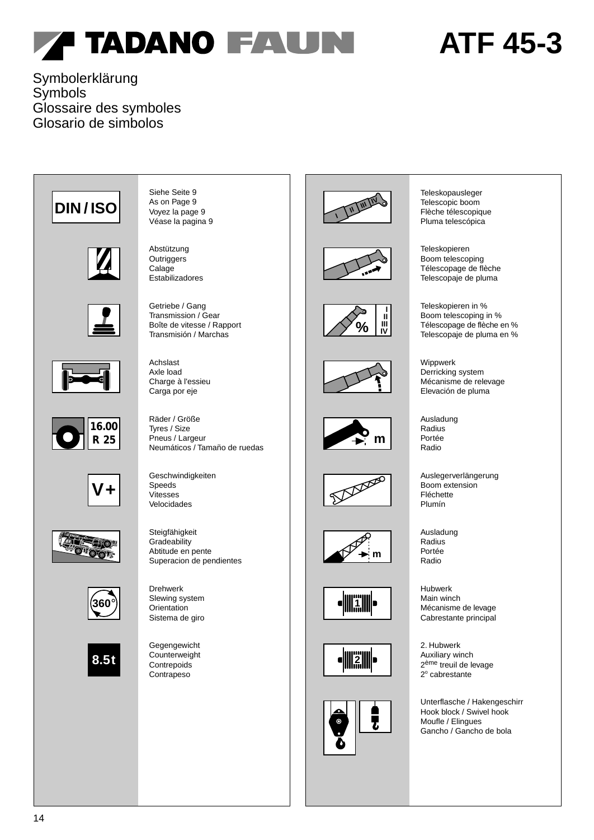# **ATF 45-3**

### Symbolerklärung Symbols Glossaire des symboles Glosario de simbolos

















Siehe Seite 9 As on Page 9 Voyez la page 9 Véase la pagina 9

Abstützung **Outriggers** Calage Estabilizadores

Getriebe / Gang Transmission / Gear Boîte de vitesse / Rapport Transmisión / Marchas

Achslast Axle load Charge à l'essieu Carga por eje

Neumáticos / Tamaño de ruedas Räder / Größe Tyres / Size Pneus / Largeur

Geschwindigkeiten Speeds Vitesses Velocidades



Drehwerk Slewing system Orientation Sistema de giro

Gegengewicht **Counterweight Contrepoids** Contrapeso





















Teleskopausleger Telescopic boom Flèche télescopique Pluma telescópica

Teleskopieren Boom telescoping Télescopage de flèche Telescopaje de pluma

Teleskopieren in % Boom telescoping in % Télescopage de flèche en % Telescopaje de pluma en %

Wippwerk Derricking system Mécanisme de relevage Elevación de pluma

Ausladung Radius Portée Radio

Auslegerverlängerung Boom extension Fléchette Plumín

Ausladung Radius Portée Radio

Hubwerk Main winch Mécanisme de levage Cabrestante principal

2. Hubwerk Auxiliary winch 2<sup>ème</sup> treuil de levage 2<sup>°</sup> cabrestante

Unterflasche / Hakengeschirr Hook block / Swivel hook Moufle / Elingues Gancho / Gancho de bola